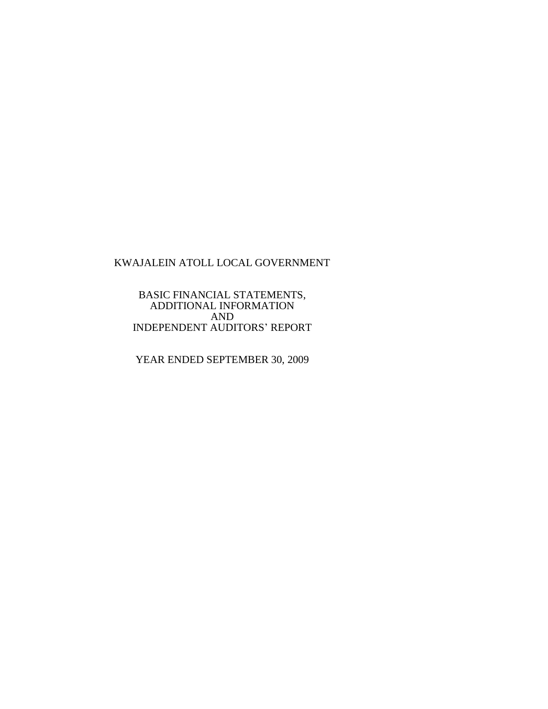BASIC FINANCIAL STATEMENTS, ADDITIONAL INFORMATION AND INDEPENDENT AUDITORS' REPORT

YEAR ENDED SEPTEMBER 30, 2009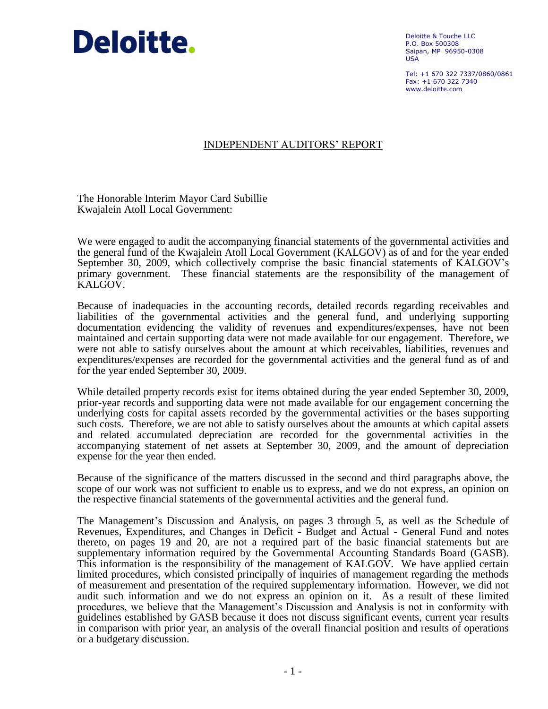

Deloitte & Touche LLC P.O. Box 500308 Saipan, MP 96950-0308 USA

Tel: +1 670 322 7337/0860/0861  $Fay: +1 670 322 7340$ www.deloitte.com

# INDEPENDENT AUDITORS' REPORT

The Honorable Interim Mayor Card Subillie Kwajalein Atoll Local Government:

We were engaged to audit the accompanying financial statements of the governmental activities and the general fund of the Kwajalein Atoll Local Government (KALGOV) as of and for the year ended September 30, 2009, which collectively comprise the basic financial statements of KALGOV's primary government. These financial statements are the responsibility of the management of KALGOV.

Because of inadequacies in the accounting records, detailed records regarding receivables and liabilities of the governmental activities and the general fund, and underlying supporting documentation evidencing the validity of revenues and expenditures/expenses, have not been maintained and certain supporting data were not made available for our engagement. Therefore, we were not able to satisfy ourselves about the amount at which receivables, liabilities, revenues and expenditures/expenses are recorded for the governmental activities and the general fund as of and for the year ended September 30, 2009.

While detailed property records exist for items obtained during the year ended September 30, 2009, prior-year records and supporting data were not made available for our engagement concerning the underlying costs for capital assets recorded by the governmental activities or the bases supporting such costs. Therefore, we are not able to satisfy ourselves about the amounts at which capital assets and related accumulated depreciation are recorded for the governmental activities in the accompanying statement of net assets at September 30, 2009, and the amount of depreciation expense for the year then ended.

Because of the significance of the matters discussed in the second and third paragraphs above, the scope of our work was not sufficient to enable us to express, and we do not express, an opinion on the respective financial statements of the governmental activities and the general fund.

The Management's Discussion and Analysis, on pages 3 through 5, as well as the Schedule of Revenues, Expenditures, and Changes in Deficit - Budget and Actual - General Fund and notes thereto, on pages 19 and 20, are not a required part of the basic financial statements but are supplementary information required by the Governmental Accounting Standards Board (GASB). This information is the responsibility of the management of KALGOV. We have applied certain limited procedures, which consisted principally of inquiries of management regarding the methods of measurement and presentation of the required supplementary information. However, we did not audit such information and we do not express an opinion on it. As a result of these limited procedures, we believe that the Management's Discussion and Analysis is not in conformity with guidelines established by GASB because it does not discuss significant events, current year results in comparison with prior year, an analysis of the overall financial position and results of operations or a budgetary discussion.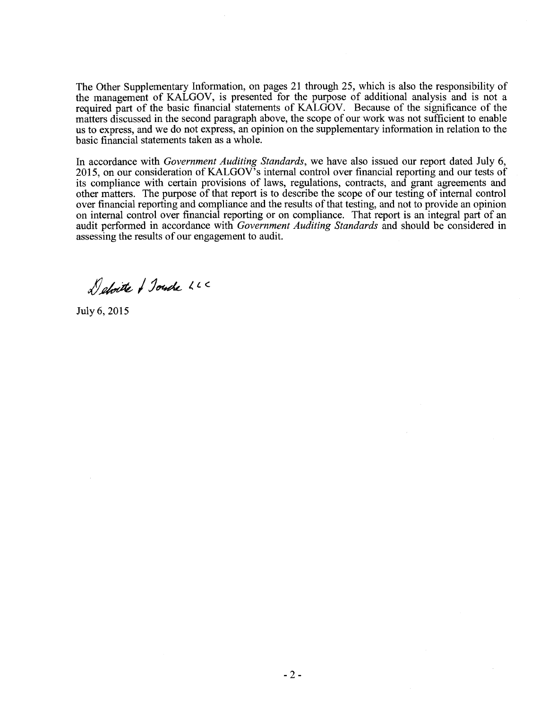The Other Supplementary Information, on pages 21 through 25, which is also the responsibility of the management of KALGOV, is presented for the purpose of additional analysis and is not a required part of the basic financial statements of KALGOV. Because of the significance of the matters discussed in the second paragraph above, the scope of our work was not sufficient to enable us to express, and we do not express, an opinion on the supplementary information in relation to the basic financial statements taken as a whole.

In accordance with *Government Auditing Standards,* we have also issued our report dated July 6, 2015, on our consideration of KALGOV's internal control over financial reporting and our tests of its compliance with certain provisions of laws, regulations, contracts, and grant agreements and other matters. The purpose of that report is to describe the scope of our testing of internal control over financial reporting and compliance and the results of that testing, and not to provide an opinion on internal control over financial reporting or on compliance. That report is an integral part of an audit performed in accordance with *Government Auditing Standards* and should be considered in assessing the results of our engagement to audit.

Deloite / Journe LLC

July 6,2015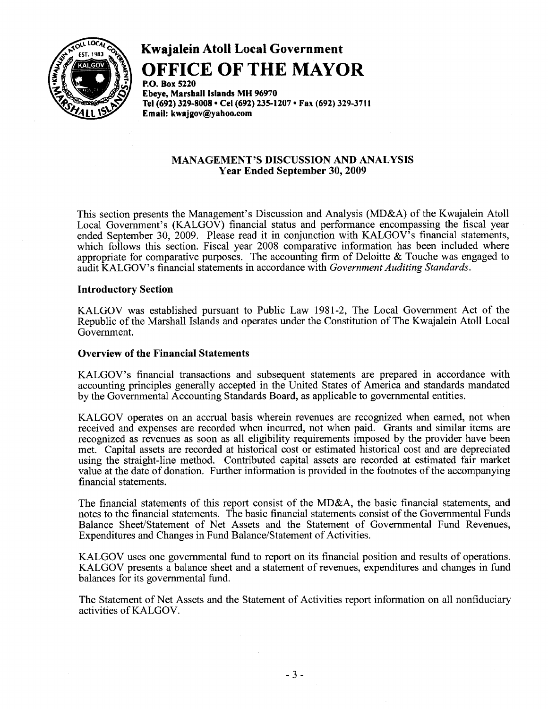

**Kwajalein Atoll Local Government OFFICE OF THE MAYOR** 

**P.o. Box 5220 Ebeye,** Marshall Islands **MH 96970**  Tel (692) 329-8008 • Cel (692) 235-1207 • Fax (692) 329-3711 **Email: kwajgov@yahoo.com** 

#### **MANAGEMENT'S DISCUSSION AND ANALYSIS Year Ended September 30, 2009**

This section presents the Management's Discussion and Analysis (MD&A) of the Kwajalein Atoll Local Government's (KALGOV) financial status and performance encompassing the fiscal year ended September 30, 2009. Please read it in conjunction with KALGOV's financial statements, which follows this section. Fiscal year 2008 comparative information has been included where appropriate for comparative purposes. The accounting firm of Deloitte & Touche was engaged to audit KALGOV's financial statements in accordance with *Government Auditing Standards.* 

#### **Introductory Section**

KALGOV was established pursuant to Public Law 1981-2, The Local Government Act of the Republic of the Marshall Islands and operates under the Constitution of The Kwajalein Atoll Local Government.

#### **Overview of the Financial Statements**

KALGOV's financial transactions and subsequent statements are prepared in accordance with accounting principles generally accepted in the United States of America and standards mandated by the Governmental Accounting Standards Board, as applicable to governmental entities.

KALGOV operates on an accrual basis wherein revenues are recognized when earned, not when received and expenses are recorded when incurred, not when paid. Grants and similar items are recognized as revenues as soon as all eligibility requirements imposed by the provider have been met. Capital assets are recorded at historical cost or estimated historical cost and are depreciated using the straight-line method. Contributed capital assets are recorded at estimated fair market value at the date of donation. Further information is provided in the footnotes of the accompanying financial statements.

The financial statements of this report consist of the MD&A, the basic financial statements, and notes to the financial statements. The basic financial statements consist of the Governmental Funds Balance Sheet/Statement of Net Assets and the Statement of Governmental Fund Revenues, Expenditures and Changes in Fund Balance/Statement of Activities.

KALGOV uses one governmental fund to report on its financial position and results of operations. KALGOV presents a balance sheet and a statement of revenues, expenditures and changes in fund balances for its governmental fund.

The Statement of Net Assets and the Statement of Activities report information on all nonfiduciary activities of KALGOV.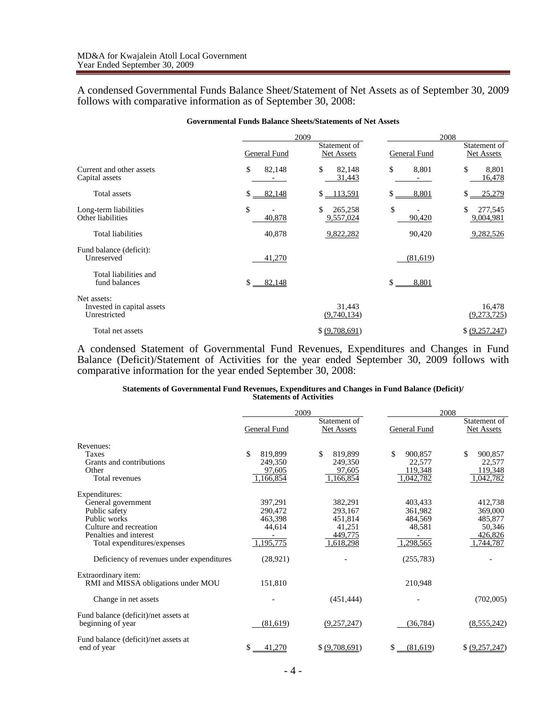A condensed Governmental Funds Balance Sheet/Statement of Net Assets as of September 30, 2009 follows with comparative information as of September 30, 2008:

| Governmentar i unus Dalamee Bileets/Blatements of Fiel Assets |              |                            |              |                            |  |  |
|---------------------------------------------------------------|--------------|----------------------------|--------------|----------------------------|--|--|
|                                                               |              | 2009                       |              | 2008                       |  |  |
|                                                               | General Fund | Statement of<br>Net Assets | General Fund | Statement of<br>Net Assets |  |  |
| Current and other assets<br>Capital assets                    | \$<br>82,148 | \$<br>82,148<br>31,443     | \$<br>8,801  | \$<br>8,801<br>16,478      |  |  |
| Total assets                                                  | \$<br>82,148 | $$ -113,591$               | \$<br>8,801  | \$<br>25,279               |  |  |
| Long-term liabilities<br>Other liabilities                    | \$<br>40,878 | \$<br>265,258<br>9,557,024 | \$<br>90,420 | \$<br>277,545<br>9,004,981 |  |  |
| Total liabilities                                             | 40,878       | 9,822,282                  | 90,420       | 9,282,526                  |  |  |
| Fund balance (deficit):<br>Unreserved                         | 41,270       |                            | (81,619)     |                            |  |  |
| Total liabilities and<br>fund balances                        | \$<br>82,148 |                            | \$<br>8,801  |                            |  |  |
| Net assets:<br>Invested in capital assets<br>Unrestricted     |              | 31,443<br>(9,740,134)      |              | 16,478<br>(9,273,725)      |  |  |
| Total net assets                                              |              | \$ (9,708,691)             |              | \$ (9,257,247)             |  |  |

#### **Governmental Funds Balance Sheets/Statements of Net Assets**

A condensed Statement of Governmental Fund Revenues, Expenditures and Changes in Fund Balance (Deficit)/Statement of Activities for the year ended September 30, 2009 follows with comparative information for the year ended September 30, 2008:

#### **Statements of Governmental Fund Revenues, Expenditures and Changes in Fund Balance (Deficit)/ Statements of Activities**

|                                                            |                          | 2009                       |                         | 2008                       |  |  |
|------------------------------------------------------------|--------------------------|----------------------------|-------------------------|----------------------------|--|--|
|                                                            | General Fund             | Statement of<br>Net Assets | General Fund            | Statement of<br>Net Assets |  |  |
| Revenues:                                                  |                          |                            |                         |                            |  |  |
| <b>Taxes</b><br>Grants and contributions                   | \$<br>819,899<br>249,350 | \$<br>819,899<br>249,350   | \$<br>900.857<br>22,577 | \$<br>900.857<br>22,577    |  |  |
| Other<br>Total revenues                                    | 97,605<br>1,166,854      | 97,605<br>1,166,854        | 119,348<br>,042,782     | 119,348<br>1,042,782       |  |  |
| Expenditures:                                              |                          |                            |                         |                            |  |  |
| General government<br>Public safety                        | 397,291<br>290,472       | 382,291<br>293,167         | 403,433<br>361.982      | 412,738<br>369,000         |  |  |
| Public works<br>Culture and recreation                     | 463,398<br>44,614        | 451,814<br>41,251          | 484.569<br>48,581       | 485,877<br>50,346          |  |  |
| Penalties and interest<br>Total expenditures/expenses      | 1,195,775                | 449,775<br>1,618,298       | ,298,565                | 426,826<br>1,744,787       |  |  |
| Deficiency of revenues under expenditures                  | (28, 921)                |                            | (255, 783)              |                            |  |  |
| Extraordinary item:<br>RMI and MISSA obligations under MOU | 151,810                  |                            | 210,948                 |                            |  |  |
| Change in net assets                                       |                          | (451, 444)                 |                         | (702,005)                  |  |  |
| Fund balance (deficit)/net assets at<br>beginning of year  | (81,619)                 | (9,257,247)                | (36, 784)               | (8,555,242)                |  |  |
| Fund balance (deficit)/net assets at<br>end of year        | \$<br>41,270             | \$ (9,708,691)             | (81,619)<br>S           | \$ (9,257,247)             |  |  |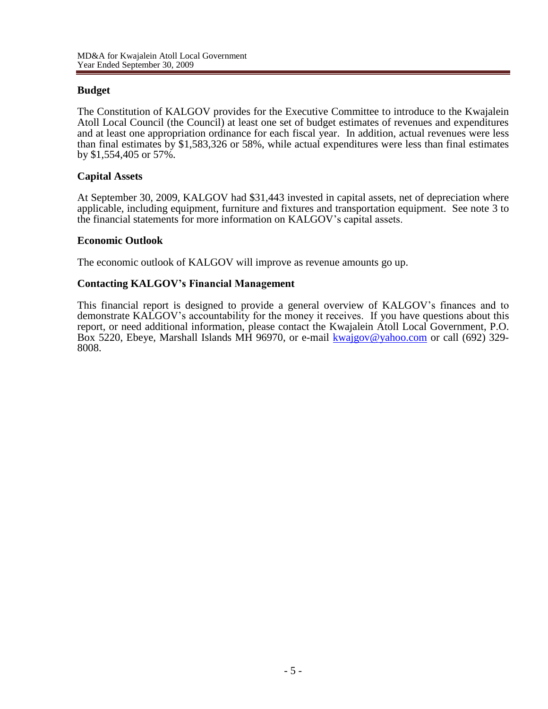# **Budget**

The Constitution of KALGOV provides for the Executive Committee to introduce to the Kwajalein Atoll Local Council (the Council) at least one set of budget estimates of revenues and expenditures and at least one appropriation ordinance for each fiscal year. In addition, actual revenues were less than final estimates by \$1,583,326 or 58%, while actual expenditures were less than final estimates by \$1,554,405 or 57%.

# **Capital Assets**

At September 30, 2009, KALGOV had \$31,443 invested in capital assets, net of depreciation where applicable, including equipment, furniture and fixtures and transportation equipment. See note 3 to the financial statements for more information on KALGOV's capital assets.

## **Economic Outlook**

The economic outlook of KALGOV will improve as revenue amounts go up.

## **Contacting KALGOV's Financial Management**

This financial report is designed to provide a general overview of KALGOV's finances and to demonstrate KALGOV's accountability for the money it receives. If you have questions about this report, or need additional information, please contact the Kwajalein Atoll Local Government, P.O. Box 5220, Ebeye, Marshall Islands MH 96970, or e-mail [kwajgov@yahoo.com](mailto:kwajgov@yahoo.com) or call (692) 329-8008.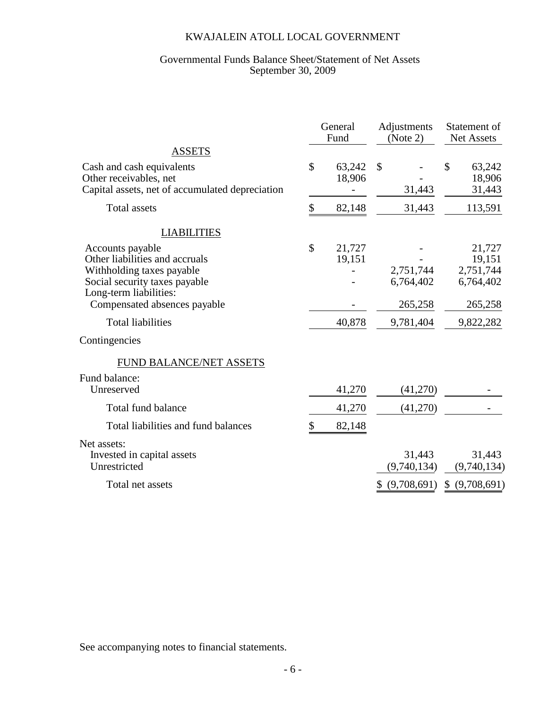#### Governmental Funds Balance Sheet/Statement of Net Assets September 30, 2009

|                                                                                                        | General<br>Fund        | Adjustments<br>(Note 2) | Statement of<br>Net Assets       |
|--------------------------------------------------------------------------------------------------------|------------------------|-------------------------|----------------------------------|
| <b>ASSETS</b>                                                                                          |                        |                         |                                  |
| Cash and cash equivalents<br>Other receivables, net<br>Capital assets, net of accumulated depreciation | \$<br>63,242<br>18,906 | $\mathcal{S}$<br>31,443 | \$<br>63,242<br>18,906<br>31,443 |
| <b>Total assets</b>                                                                                    | \$<br>82,148           | 31,443                  | 113,591                          |
| <b>LIABILITIES</b>                                                                                     |                        |                         |                                  |
| Accounts payable<br>Other liabilities and accruals                                                     | \$<br>21,727<br>19,151 | 2,751,744               | 21,727<br>19,151<br>2,751,744    |
| Withholding taxes payable<br>Social security taxes payable<br>Long-term liabilities:                   |                        | 6,764,402               | 6,764,402                        |
| Compensated absences payable                                                                           |                        | 265,258                 | 265,258                          |
| <b>Total liabilities</b>                                                                               | 40,878                 | 9,781,404               | 9,822,282                        |
| Contingencies                                                                                          |                        |                         |                                  |
| FUND BALANCE/NET ASSETS                                                                                |                        |                         |                                  |
| Fund balance:                                                                                          |                        |                         |                                  |
| Unreserved                                                                                             | 41,270                 | (41,270)                |                                  |
| <b>Total fund balance</b>                                                                              | 41,270                 | (41,270)                |                                  |
| Total liabilities and fund balances                                                                    | 82,148                 |                         |                                  |
| Net assets:<br>Invested in capital assets<br>Unrestricted                                              |                        | 31,443<br>(9,740,134)   | 31,443<br>(9,740,134)            |
| Total net assets                                                                                       |                        | (9,708,691)             | (9,708,691)<br>S.                |

See accompanying notes to financial statements.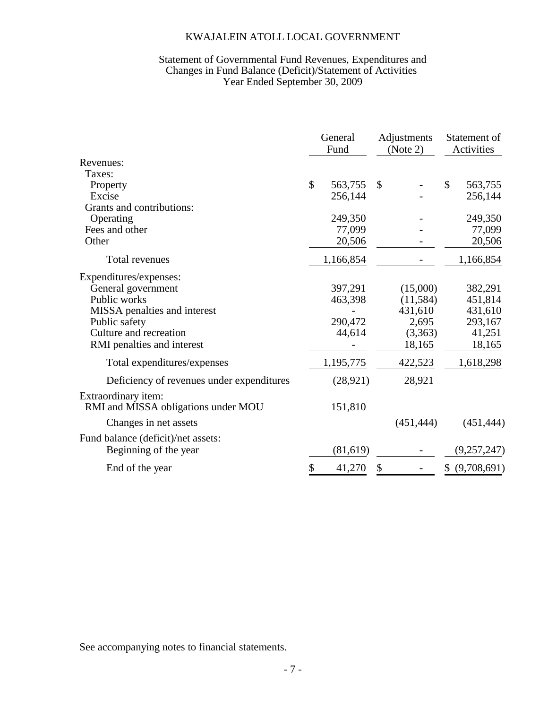## Statement of Governmental Fund Revenues, Expenditures and Changes in Fund Balance (Deficit)/Statement of Activities Year Ended September 30, 2009

|                                           |              | General<br>Fund |               | Adjustments<br>(Note 2) |              | Statement of<br>Activities |
|-------------------------------------------|--------------|-----------------|---------------|-------------------------|--------------|----------------------------|
| Revenues:                                 |              |                 |               |                         |              |                            |
| Taxes:                                    |              |                 |               |                         |              |                            |
| Property                                  | $\mathbb{S}$ | 563,755         | $\mathcal{S}$ |                         | $\mathbb{S}$ | 563,755                    |
| Excise                                    |              | 256,144         |               |                         |              | 256,144                    |
| Grants and contributions:                 |              |                 |               |                         |              |                            |
| Operating                                 |              | 249,350         |               |                         |              | 249,350                    |
| Fees and other                            |              | 77,099          |               |                         |              | 77,099                     |
| Other                                     |              | 20,506          |               |                         |              | 20,506                     |
| Total revenues                            |              | 1,166,854       |               |                         |              | 1,166,854                  |
| Expenditures/expenses:                    |              |                 |               |                         |              |                            |
| General government                        |              | 397,291         |               | (15,000)                |              | 382,291                    |
| Public works                              |              | 463,398         |               | (11,584)                |              | 451,814                    |
| MISSA penalties and interest              |              |                 |               | 431,610                 |              | 431,610                    |
| Public safety                             |              | 290,472         |               | 2,695                   |              | 293,167                    |
| Culture and recreation                    |              | 44,614          |               | (3,363)                 |              | 41,251                     |
| RMI penalties and interest                |              |                 |               | 18,165                  |              | 18,165                     |
| Total expenditures/expenses               |              | 1,195,775       |               | 422,523                 |              | 1,618,298                  |
| Deficiency of revenues under expenditures |              | (28, 921)       |               | 28,921                  |              |                            |
| Extraordinary item:                       |              |                 |               |                         |              |                            |
| RMI and MISSA obligations under MOU       |              | 151,810         |               |                         |              |                            |
| Changes in net assets                     |              |                 |               | (451, 444)              |              | (451, 444)                 |
| Fund balance (deficit)/net assets:        |              |                 |               |                         |              |                            |
| Beginning of the year                     |              | (81,619)        |               |                         |              | (9,257,247)                |
| End of the year                           | \$           | 41,270          | \$            |                         | \$           | (9,708,691)                |

See accompanying notes to financial statements.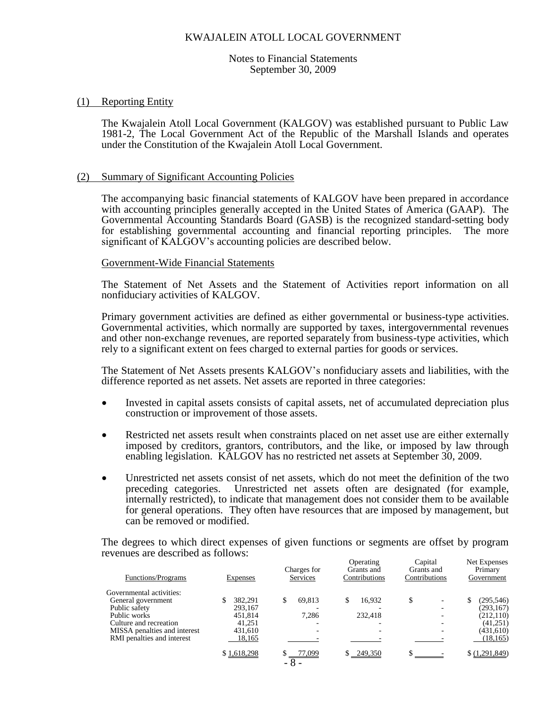Notes to Financial Statements September 30, 2009

#### (1) Reporting Entity

The Kwajalein Atoll Local Government (KALGOV) was established pursuant to Public Law 1981-2, The Local Government Act of the Republic of the Marshall Islands and operates under the Constitution of the Kwajalein Atoll Local Government.

#### (2) Summary of Significant Accounting Policies

The accompanying basic financial statements of KALGOV have been prepared in accordance with accounting principles generally accepted in the United States of America (GAAP). The Governmental Accounting Standards Board (GASB) is the recognized standard-setting body for establishing governmental accounting and financial reporting principles. The more significant of KALGOV's accounting policies are described below.

#### Government-Wide Financial Statements

The Statement of Net Assets and the Statement of Activities report information on all nonfiduciary activities of KALGOV.

Primary government activities are defined as either governmental or business-type activities. Governmental activities, which normally are supported by taxes, intergovernmental revenues and other non-exchange revenues, are reported separately from business-type activities, which rely to a significant extent on fees charged to external parties for goods or services.

The Statement of Net Assets presents KALGOV's nonfiduciary assets and liabilities, with the difference reported as net assets. Net assets are reported in three categories:

- Invested in capital assets consists of capital assets, net of accumulated depreciation plus construction or improvement of those assets.
- Restricted net assets result when constraints placed on net asset use are either externally imposed by creditors, grantors, contributors, and the like, or imposed by law through enabling legislation. KALGOV has no restricted net assets at September 30, 2009.
- Unrestricted net assets consist of net assets, which do not meet the definition of the two preceding categories. Unrestricted net assets often are designated (for example, internally restricted), to indicate that management does not consider them to be available for general operations. They often have resources that are imposed by management, but can be removed or modified.

The degrees to which direct expenses of given functions or segments are offset by program revenues are described as follows: Operating Capital Net Expenses

| <b>Expenses</b> | Charges for<br>Services | Grants and<br>Contributions | Grants and<br>Contributions | <b>NET EXPENSES</b><br>Primary<br>Government |
|-----------------|-------------------------|-----------------------------|-----------------------------|----------------------------------------------|
|                 |                         |                             |                             |                                              |
|                 |                         | \$                          | \$<br>٠                     | (295, 546)<br>\$                             |
| 293,167         |                         |                             | ٠                           | (293, 167)                                   |
| 451,814         | 7,286                   | 232,418                     |                             | (212, 110)                                   |
| 41.251          |                         |                             | -                           | (41,251)                                     |
| 431,610         |                         |                             | $\overline{\phantom{0}}$    | (431,610)                                    |
| 18,165          |                         |                             |                             | (18, 165)                                    |
| \$1,618,298     | 77,099                  | $$ -249,350$                |                             | \$ (1,291,849)                               |
|                 | 382.291                 | 69.813<br>$-8-$             | Operating<br>16,932         | Capital                                      |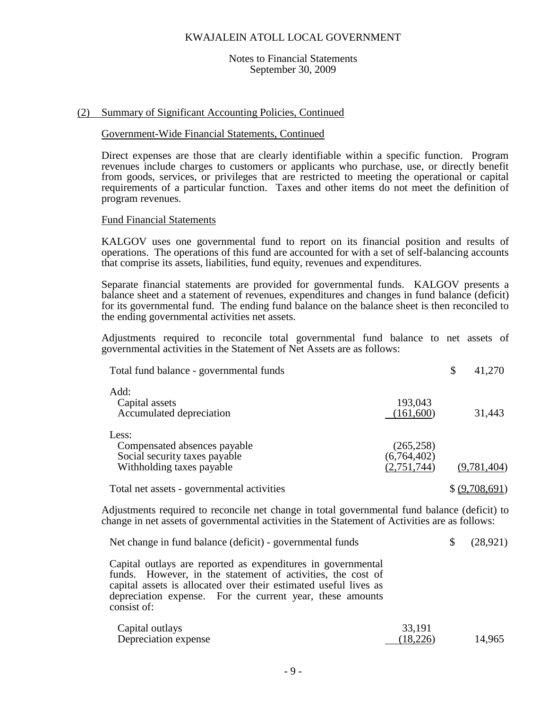#### Notes to Financial Statements September 30, 2009

## (2) Summary of Significant Accounting Policies, Continued

## Government-Wide Financial Statements, Continued

Direct expenses are those that are clearly identifiable within a specific function. Program revenues include charges to customers or applicants who purchase, use, or directly benefit from goods, services, or privileges that are restricted to meeting the operational or capital requirements of a particular function. Taxes and other items do not meet the definition of program revenues.

#### Fund Financial Statements

KALGOV uses one governmental fund to report on its financial position and results of operations. The operations of this fund are accounted for with a set of self-balancing accounts that comprise its assets, liabilities, fund equity, revenues and expenditures.

Separate financial statements are provided for governmental funds. KALGOV presents a balance sheet and a statement of revenues, expenditures and changes in fund balance (deficit) for its governmental fund. The ending fund balance on the balance sheet is then reconciled to the ending governmental activities net assets.

Adjustments required to reconcile total governmental fund balance to net assets of governmental activities in the Statement of Net Assets are as follows:

| Total fund balance - governmental funds                                                             |                                          | \$<br>41,270   |
|-----------------------------------------------------------------------------------------------------|------------------------------------------|----------------|
| Add:<br>Capital assets<br>Accumulated depreciation                                                  | 193,043<br>(161,600)                     | 31,443         |
| Less:<br>Compensated absences payable<br>Social security taxes payable<br>Withholding taxes payable | (265, 258)<br>(6,764,402)<br>(2,751,744) | (9,781,404)    |
| Total net assets - governmental activities                                                          |                                          | \$ (9,708,691) |

Adjustments required to reconcile net change in total governmental fund balance (deficit) to change in net assets of governmental activities in the Statement of Activities are as follows:

| Net change in fund balance (deficit) - governmental funds |  | $\frac{1}{2}$ (28,921) |
|-----------------------------------------------------------|--|------------------------|
|-----------------------------------------------------------|--|------------------------|

Capital outlays are reported as expenditures in governmental funds. However, in the statement of activities, the cost of capital assets is allocated over their estimated useful lives as depreciation expense. For the current year, these amounts consist of:

| Capital outlays      | 33,191   |        |
|----------------------|----------|--------|
| Depreciation expense | (18,226) | 14,965 |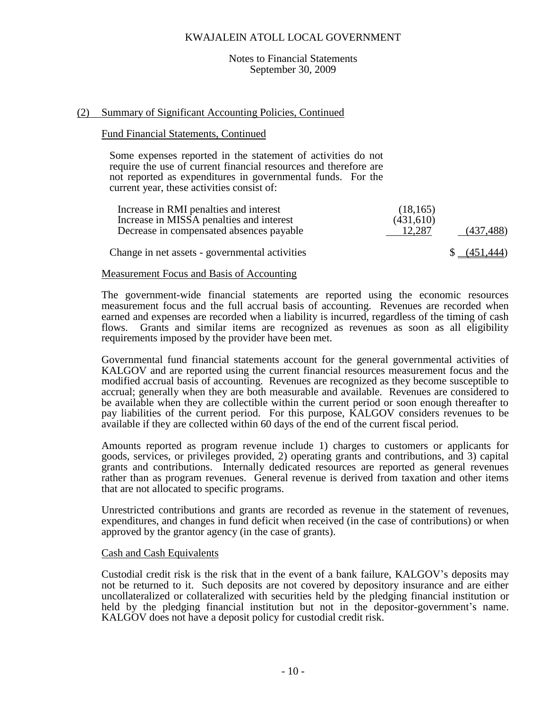#### Notes to Financial Statements September 30, 2009

#### (2) Summary of Significant Accounting Policies, Continued

#### Fund Financial Statements, Continued

Some expenses reported in the statement of activities do not require the use of current financial resources and therefore are not reported as expenditures in governmental funds. For the current year, these activities consist of:

| Increase in RMI penalties and interest<br>Increase in MISSA penalties and interest | (18, 165)<br>(431,610) |                         |
|------------------------------------------------------------------------------------|------------------------|-------------------------|
| Decrease in compensated absences payable                                           | 12.287                 | (437, 488)              |
| Change in net assets - governmental activities                                     |                        | $\frac{1}{2}$ (451,444) |

## Measurement Focus and Basis of Accounting

The government-wide financial statements are reported using the economic resources measurement focus and the full accrual basis of accounting. Revenues are recorded when earned and expenses are recorded when a liability is incurred, regardless of the timing of cash flows. Grants and similar items are recognized as revenues as soon as all eligibility requirements imposed by the provider have been met.

Governmental fund financial statements account for the general governmental activities of KALGOV and are reported using the current financial resources measurement focus and the modified accrual basis of accounting. Revenues are recognized as they become susceptible to accrual; generally when they are both measurable and available. Revenues are considered to be available when they are collectible within the current period or soon enough thereafter to pay liabilities of the current period. For this purpose, KALGOV considers revenues to be available if they are collected within 60 days of the end of the current fiscal period.

Amounts reported as program revenue include 1) charges to customers or applicants for goods, services, or privileges provided, 2) operating grants and contributions, and 3) capital grants and contributions. Internally dedicated resources are reported as general revenues rather than as program revenues. General revenue is derived from taxation and other items that are not allocated to specific programs.

Unrestricted contributions and grants are recorded as revenue in the statement of revenues, expenditures, and changes in fund deficit when received (in the case of contributions) or when approved by the grantor agency (in the case of grants).

#### Cash and Cash Equivalents

Custodial credit risk is the risk that in the event of a bank failure, KALGOV's deposits may not be returned to it. Such deposits are not covered by depository insurance and are either uncollateralized or collateralized with securities held by the pledging financial institution or held by the pledging financial institution but not in the depositor-government's name. KALGOV does not have a deposit policy for custodial credit risk.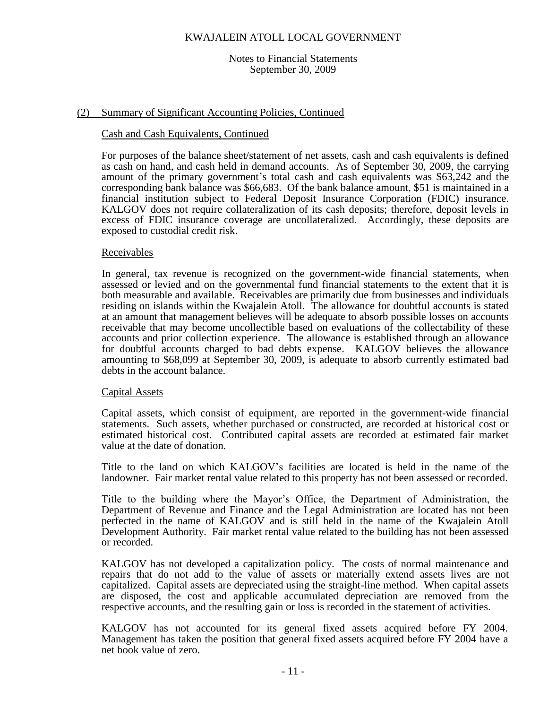#### Notes to Financial Statements September 30, 2009

## (2) Summary of Significant Accounting Policies, Continued

## Cash and Cash Equivalents, Continued

For purposes of the balance sheet/statement of net assets, cash and cash equivalents is defined as cash on hand, and cash held in demand accounts. As of September 30, 2009, the carrying amount of the primary government's total cash and cash equivalents was \$63,242 and the corresponding bank balance was \$66,683. Of the bank balance amount, \$51 is maintained in a financial institution subject to Federal Deposit Insurance Corporation (FDIC) insurance. KALGOV does not require collateralization of its cash deposits; therefore, deposit levels in excess of FDIC insurance coverage are uncollateralized. Accordingly, these deposits are exposed to custodial credit risk.

#### Receivables

In general, tax revenue is recognized on the government-wide financial statements, when assessed or levied and on the governmental fund financial statements to the extent that it is both measurable and available. Receivables are primarily due from businesses and individuals residing on islands within the Kwajalein Atoll. The allowance for doubtful accounts is stated at an amount that management believes will be adequate to absorb possible losses on accounts receivable that may become uncollectible based on evaluations of the collectability of these accounts and prior collection experience. The allowance is established through an allowance for doubtful accounts charged to bad debts expense. KALGOV believes the allowance amounting to \$68,099 at September 30, 2009, is adequate to absorb currently estimated bad debts in the account balance.

## Capital Assets

Capital assets, which consist of equipment, are reported in the government-wide financial statements. Such assets, whether purchased or constructed, are recorded at historical cost or estimated historical cost. Contributed capital assets are recorded at estimated fair market value at the date of donation.

Title to the land on which KALGOV's facilities are located is held in the name of the landowner. Fair market rental value related to this property has not been assessed or recorded.

Title to the building where the Mayor's Office, the Department of Administration, the Department of Revenue and Finance and the Legal Administration are located has not been perfected in the name of KALGOV and is still held in the name of the Kwajalein Atoll Development Authority. Fair market rental value related to the building has not been assessed or recorded.

KALGOV has not developed a capitalization policy. The costs of normal maintenance and repairs that do not add to the value of assets or materially extend assets lives are not capitalized. Capital assets are depreciated using the straight-line method. When capital assets are disposed, the cost and applicable accumulated depreciation are removed from the respective accounts, and the resulting gain or loss is recorded in the statement of activities.

KALGOV has not accounted for its general fixed assets acquired before FY 2004. Management has taken the position that general fixed assets acquired before FY 2004 have a net book value of zero.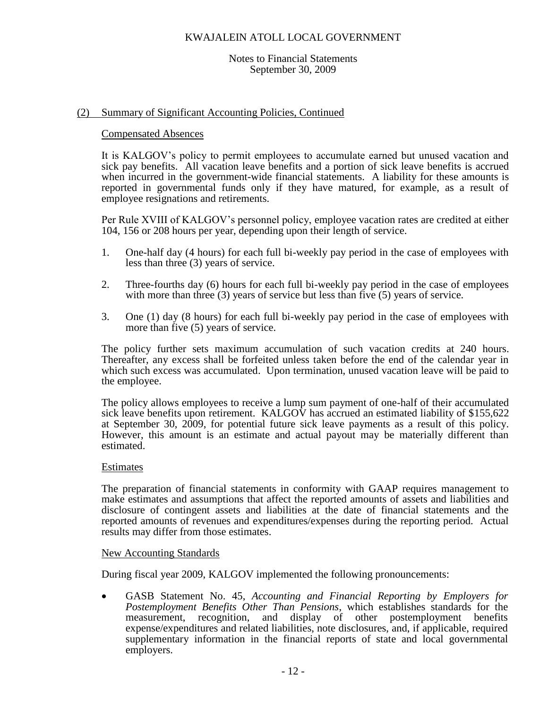#### Notes to Financial Statements September 30, 2009

## (2) Summary of Significant Accounting Policies, Continued

#### Compensated Absences

It is KALGOV's policy to permit employees to accumulate earned but unused vacation and sick pay benefits. All vacation leave benefits and a portion of sick leave benefits is accrued when incurred in the government-wide financial statements. A liability for these amounts is reported in governmental funds only if they have matured, for example, as a result of employee resignations and retirements.

Per Rule XVIII of KALGOV's personnel policy, employee vacation rates are credited at either 104, 156 or 208 hours per year, depending upon their length of service.

- 1. One-half day (4 hours) for each full bi-weekly pay period in the case of employees with less than three (3) years of service.
- 2. Three-fourths day (6) hours for each full bi-weekly pay period in the case of employees with more than three (3) years of service but less than five (5) years of service.
- 3. One (1) day (8 hours) for each full bi-weekly pay period in the case of employees with more than five (5) years of service.

The policy further sets maximum accumulation of such vacation credits at 240 hours. Thereafter, any excess shall be forfeited unless taken before the end of the calendar year in which such excess was accumulated. Upon termination, unused vacation leave will be paid to the employee.

The policy allows employees to receive a lump sum payment of one-half of their accumulated sick leave benefits upon retirement. KALGOV has accrued an estimated liability of  $$155,622$ at September 30, 2009, for potential future sick leave payments as a result of this policy. However, this amount is an estimate and actual payout may be materially different than estimated.

## **Estimates**

The preparation of financial statements in conformity with GAAP requires management to make estimates and assumptions that affect the reported amounts of assets and liabilities and disclosure of contingent assets and liabilities at the date of financial statements and the reported amounts of revenues and expenditures/expenses during the reporting period. Actual results may differ from those estimates.

## New Accounting Standards

During fiscal year 2009, KALGOV implemented the following pronouncements:

 GASB Statement No. 45, *Accounting and Financial Reporting by Employers for Postemployment Benefits Other Than Pensions*, which establishes standards for the measurement, recognition, and display of other postemployment benefits expense/expenditures and related liabilities, note disclosures, and, if applicable, required supplementary information in the financial reports of state and local governmental employers.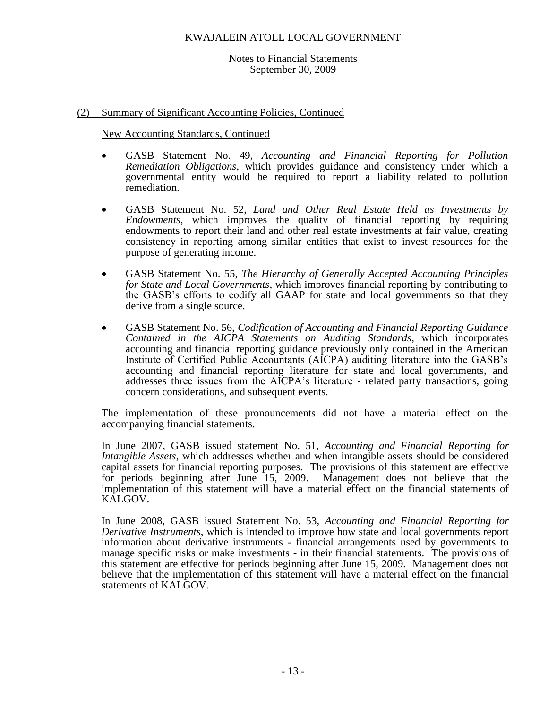#### Notes to Financial Statements September 30, 2009

## (2) Summary of Significant Accounting Policies, Continued

New Accounting Standards, Continued

- GASB Statement No. 49, *Accounting and Financial Reporting for Pollution Remediation Obligations*, which provides guidance and consistency under which a governmental entity would be required to report a liability related to pollution remediation.
- GASB Statement No. 52, *Land and Other Real Estate Held as Investments by Endowments*, which improves the quality of financial reporting by requiring endowments to report their land and other real estate investments at fair value, creating consistency in reporting among similar entities that exist to invest resources for the purpose of generating income.
- GASB Statement No. 55, *The Hierarchy of Generally Accepted Accounting Principles for State and Local Governments*, which improves financial reporting by contributing to the GASB's efforts to codify all GAAP for state and local governments so that they derive from a single source.
- GASB Statement No. 56, *Codification of Accounting and Financial Reporting Guidance Contained in the AICPA Statements on Auditing Standards*, which incorporates accounting and financial reporting guidance previously only contained in the American Institute of Certified Public Accountants (AICPA) auditing literature into the GASB's accounting and financial reporting literature for state and local governments, and addresses three issues from the AICPA's literature - related party transactions, going concern considerations, and subsequent events.

The implementation of these pronouncements did not have a material effect on the accompanying financial statements.

In June 2007, GASB issued statement No. 51, *Accounting and Financial Reporting for Intangible Assets*, which addresses whether and when intangible assets should be considered capital assets for financial reporting purposes. The provisions of this statement are effective<br>for periods beginning after June 15, 2009. Management does not believe that the for periods beginning after June  $15$ , 2009. implementation of this statement will have a material effect on the financial statements of KALGOV.

In June 2008, GASB issued Statement No. 53, *Accounting and Financial Reporting for Derivative Instruments*, which is intended to improve how state and local governments report information about derivative instruments - financial arrangements used by governments to manage specific risks or make investments - in their financial statements. The provisions of this statement are effective for periods beginning after June 15, 2009. Management does not believe that the implementation of this statement will have a material effect on the financial statements of KALGOV.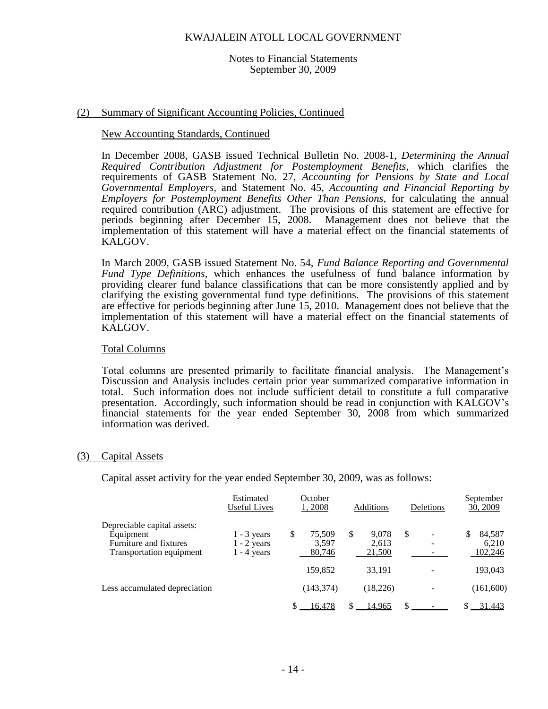#### Notes to Financial Statements September 30, 2009

## (2) Summary of Significant Accounting Policies, Continued

#### New Accounting Standards, Continued

In December 2008, GASB issued Technical Bulletin No. 2008-1, *Determining the Annual Required Contribution Adjustment for Postemployment Benefits*, which clarifies the requirements of GASB Statement No. 27, *Accounting for Pensions by State and Local Governmental Employers,* and Statement No. 45, *Accounting and Financial Reporting by Employers for Postemployment Benefits Other Than Pensions,* for calculating the annual required contribution (ARC) adjustment. The provisions of this statement are effective for periods beginning after December 15, 2008. Management does not believe that the implementation of this statement will have a material effect on the financial statements of KALGOV.

In March 2009, GASB issued Statement No. 54, *Fund Balance Reporting and Governmental Fund Type Definitions*, which enhances the usefulness of fund balance information by providing clearer fund balance classifications that can be more consistently applied and by clarifying the existing governmental fund type definitions. The provisions of this statement are effective for periods beginning after June 15, 2010. Management does not believe that the implementation of this statement will have a material effect on the financial statements of KALGOV.

## Total Columns

Total columns are presented primarily to facilitate financial analysis. The Management's Discussion and Analysis includes certain prior year summarized comparative information in total. Such information does not include sufficient detail to constitute a full comparative presentation. Accordingly, such information should be read in conjunction with KALGOV's financial statements for the year ended September 30, 2008 from which summarized information was derived.

## (3) Capital Assets

Capital asset activity for the year ended September 30, 2009, was as follows:

|                                                                                                | Estimated<br><b>Useful Lives</b>                | October<br>1,2008              | <b>Additions</b>              | Deletions | September<br>30, 2009      |
|------------------------------------------------------------------------------------------------|-------------------------------------------------|--------------------------------|-------------------------------|-----------|----------------------------|
| Depreciable capital assets:<br>Equipment<br>Furniture and fixtures<br>Transportation equipment | $1 - 3$ years<br>$1 - 2$ years<br>$1 - 4$ years | 75,509<br>S<br>3,597<br>80,746 | S<br>9.078<br>2,613<br>21,500 | S         | 84,587<br>6.210<br>102,246 |
|                                                                                                |                                                 | 159,852                        | 33,191                        |           | 193,043                    |
| Less accumulated depreciation                                                                  |                                                 | (143, 374)                     | (18,226)                      |           | (161,600)                  |
|                                                                                                |                                                 | 16,478                         | 14,965                        |           | 31,443                     |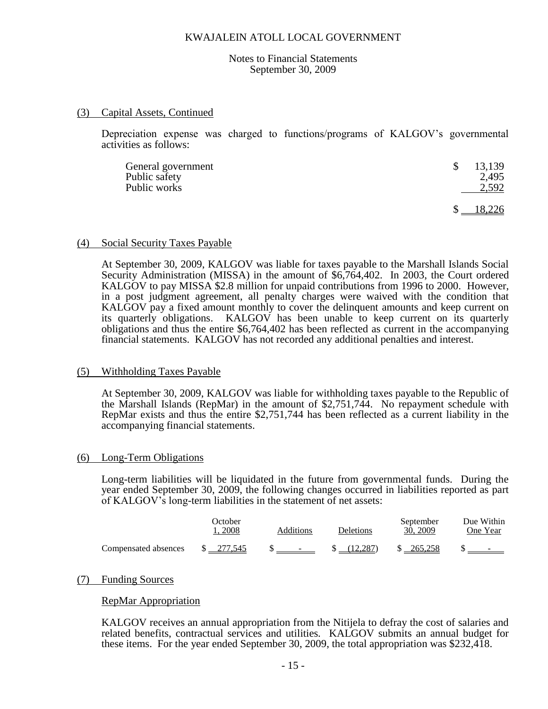#### Notes to Financial Statements September 30, 2009

#### (3) Capital Assets, Continued

Depreciation expense was charged to functions/programs of KALGOV's governmental activities as follows:

| General government | 13,139 |
|--------------------|--------|
| Public safety      | 2.495  |
| Public works       | 2,592  |
|                    |        |

#### (4) Social Security Taxes Payable

At September 30, 2009, KALGOV was liable for taxes payable to the Marshall Islands Social Security Administration (MISSA) in the amount of \$6,764,402. In 2003, the Court ordered KALGOV to pay MISSA \$2.8 million for unpaid contributions from 1996 to 2000. However, in a post judgment agreement, all penalty charges were waived with the condition that KALGOV pay a fixed amount monthly to cover the delinquent amounts and keep current on its quarterly obligations. KALGOV has been unable to keep current on its quarterly obligations and thus the entire \$6,764,402 has been reflected as current in the accompanying financial statements. KALGOV has not recorded any additional penalties and interest.

## (5) Withholding Taxes Payable

At September 30, 2009, KALGOV was liable for withholding taxes payable to the Republic of the Marshall Islands (RepMar) in the amount of \$2,751,744. No repayment schedule with RepMar exists and thus the entire \$2,751,744 has been reflected as a current liability in the accompanying financial statements.

## (6) Long-Term Obligations

Long-term liabilities will be liquidated in the future from governmental funds. During the year ended September 30, 2009, the following changes occurred in liabilities reported as part of KALGOV's long-term liabilities in the statement of net assets:

|                      | October.<br>2008     | Additions                         | Deletions | September<br>30, 2009 | Due Within<br>One Year   |
|----------------------|----------------------|-----------------------------------|-----------|-----------------------|--------------------------|
| Compensated absences | $\frac{\$}{277.545}$ | <b>Contract Contract Contract</b> | (12.287)  | \$ 265,258            | $\overline{\phantom{0}}$ |

## (7) Funding Sources

## RepMar Appropriation

KALGOV receives an annual appropriation from the Nitijela to defray the cost of salaries and related benefits, contractual services and utilities. KALGOV submits an annual budget for these items. For the year ended September 30, 2009, the total appropriation was \$232,418.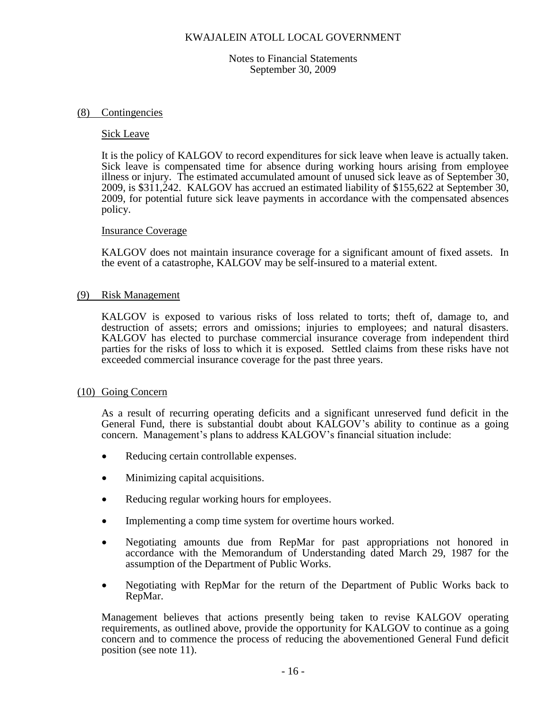Notes to Financial Statements September 30, 2009

#### (8) Contingencies

#### Sick Leave

It is the policy of KALGOV to record expenditures for sick leave when leave is actually taken. Sick leave is compensated time for absence during working hours arising from employee illness or injury. The estimated accumulated amount of unused sick leave as of September 30, 2009, is \$311,242. KALGOV has accrued an estimated liability of \$155,622 at September 30, 2009, for potential future sick leave payments in accordance with the compensated absences policy.

#### Insurance Coverage

KALGOV does not maintain insurance coverage for a significant amount of fixed assets. In the event of a catastrophe, KALGOV may be self-insured to a material extent.

#### (9) Risk Management

KALGOV is exposed to various risks of loss related to torts; theft of, damage to, and destruction of assets; errors and omissions; injuries to employees; and natural disasters. KALGOV has elected to purchase commercial insurance coverage from independent third parties for the risks of loss to which it is exposed. Settled claims from these risks have not exceeded commercial insurance coverage for the past three years.

## (10) Going Concern

As a result of recurring operating deficits and a significant unreserved fund deficit in the General Fund, there is substantial doubt about KALGOV's ability to continue as a going concern. Management's plans to address KALGOV's financial situation include:

- Reducing certain controllable expenses.
- Minimizing capital acquisitions.
- Reducing regular working hours for employees.
- Implementing a comp time system for overtime hours worked.
- Negotiating amounts due from RepMar for past appropriations not honored in accordance with the Memorandum of Understanding dated March 29, 1987 for the assumption of the Department of Public Works.
- Negotiating with RepMar for the return of the Department of Public Works back to RepMar.

Management believes that actions presently being taken to revise KALGOV operating requirements, as outlined above, provide the opportunity for KALGOV to continue as a going concern and to commence the process of reducing the abovementioned General Fund deficit position (see note 11).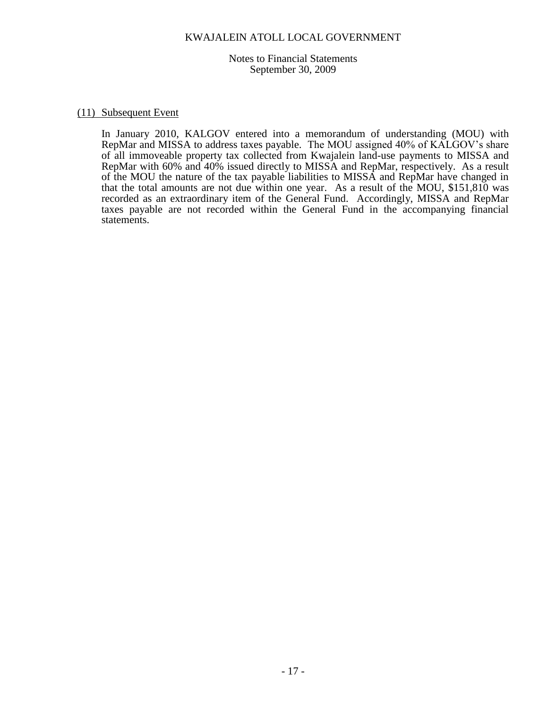Notes to Financial Statements September 30, 2009

#### (11) Subsequent Event

In January 2010, KALGOV entered into a memorandum of understanding (MOU) with RepMar and MISSA to address taxes payable. The MOU assigned 40% of KALGOV's share of all immoveable property tax collected from Kwajalein land-use payments to MISSA and RepMar with 60% and 40% issued directly to MISSA and RepMar, respectively. As a result of the MOU the nature of the tax payable liabilities to MISSA and RepMar have changed in that the total amounts are not due within one year. As a result of the MOU, \$151,810 was recorded as an extraordinary item of the General Fund. Accordingly, MISSA and RepMar taxes payable are not recorded within the General Fund in the accompanying financial statements.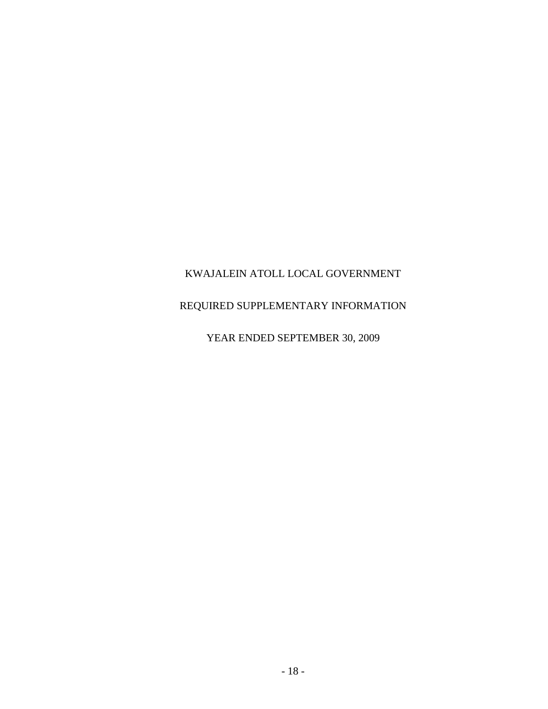# REQUIRED SUPPLEMENTARY INFORMATION

# YEAR ENDED SEPTEMBER 30, 2009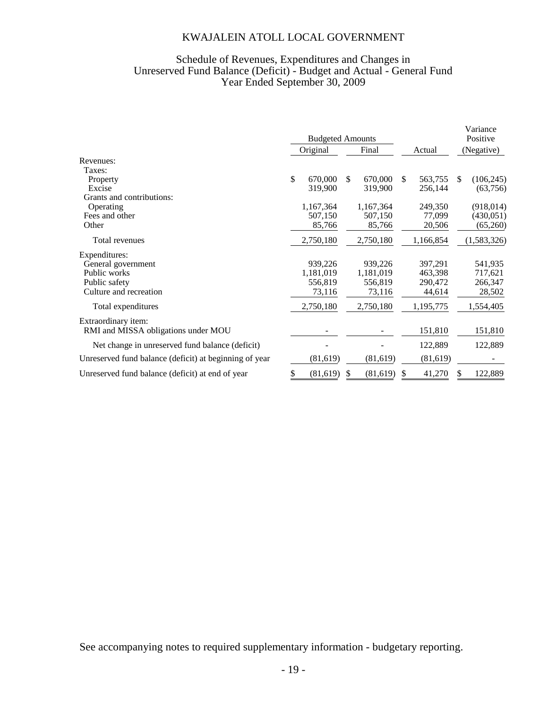## Schedule of Revenues, Expenditures and Changes in Unreserved Fund Balance (Deficit) - Budget and Actual - General Fund Year Ended September 30, 2009

|                                                        | <b>Budgeted Amounts</b> |           |    |           |     |           |     | Variance<br>Positive |  |
|--------------------------------------------------------|-------------------------|-----------|----|-----------|-----|-----------|-----|----------------------|--|
|                                                        | Original                |           |    | Final     |     | Actual    |     | (Negative)           |  |
| Revenues:                                              |                         |           |    |           |     |           |     |                      |  |
| Taxes:                                                 |                         |           |    |           |     |           |     |                      |  |
| Property                                               | \$                      | 670,000   | \$ | 670,000   | \$. | 563,755   | \$. | (106, 245)           |  |
| Excise                                                 |                         | 319,900   |    | 319,900   |     | 256,144   |     | (63, 756)            |  |
| Grants and contributions:                              |                         |           |    |           |     |           |     |                      |  |
| Operating                                              |                         | 1,167,364 |    | 1,167,364 |     | 249,350   |     | (918, 014)           |  |
| Fees and other                                         |                         | 507,150   |    | 507,150   |     | 77,099    |     | (430, 051)           |  |
| Other                                                  |                         | 85,766    |    | 85,766    |     | 20,506    |     | (65,260)             |  |
| Total revenues                                         |                         | 2,750,180 |    | 2,750,180 |     | 1,166,854 |     | (1,583,326)          |  |
| Expenditures:                                          |                         |           |    |           |     |           |     |                      |  |
| General government                                     |                         | 939,226   |    | 939,226   |     | 397,291   |     | 541,935              |  |
| Public works                                           |                         | 1,181,019 |    | 1,181,019 |     | 463,398   |     | 717,621              |  |
| Public safety                                          |                         | 556,819   |    | 556,819   |     | 290,472   |     | 266,347              |  |
| Culture and recreation                                 |                         | 73,116    |    | 73,116    |     | 44,614    |     | 28,502               |  |
| Total expenditures                                     |                         | 2,750,180 |    | 2,750,180 |     | 1,195,775 |     | 1,554,405            |  |
| Extraordinary item:                                    |                         |           |    |           |     |           |     |                      |  |
| RMI and MISSA obligations under MOU                    |                         |           |    |           |     | 151,810   |     | 151,810              |  |
| Net change in unreserved fund balance (deficit)        |                         |           |    |           |     | 122,889   |     | 122,889              |  |
| Unreserved fund balance (deficit) at beginning of year |                         | (81,619)  |    | (81,619)  |     | (81,619)  |     |                      |  |
| Unreserved fund balance (deficit) at end of year       | \$                      | (81,619)  | S  | (81,619)  | S   | 41,270    |     | 122,889              |  |

See accompanying notes to required supplementary information - budgetary reporting.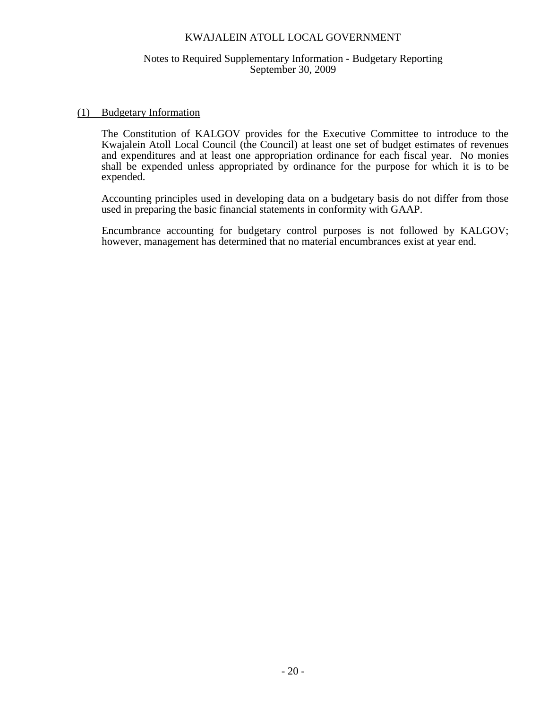## Notes to Required Supplementary Information - Budgetary Reporting September 30, 2009

#### (1) Budgetary Information

The Constitution of KALGOV provides for the Executive Committee to introduce to the Kwajalein Atoll Local Council (the Council) at least one set of budget estimates of revenues and expenditures and at least one appropriation ordinance for each fiscal year. No monies shall be expended unless appropriated by ordinance for the purpose for which it is to be expended.

Accounting principles used in developing data on a budgetary basis do not differ from those used in preparing the basic financial statements in conformity with GAAP.

Encumbrance accounting for budgetary control purposes is not followed by KALGOV; however, management has determined that no material encumbrances exist at year end.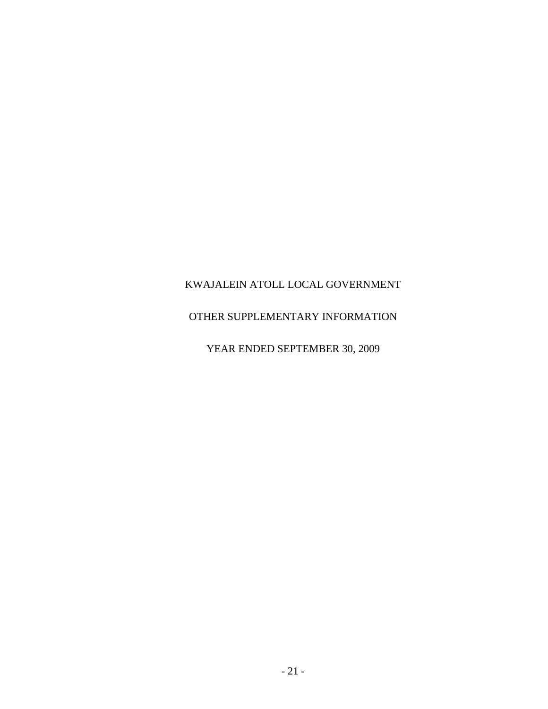# OTHER SUPPLEMENTARY INFORMATION

YEAR ENDED SEPTEMBER 30, 2009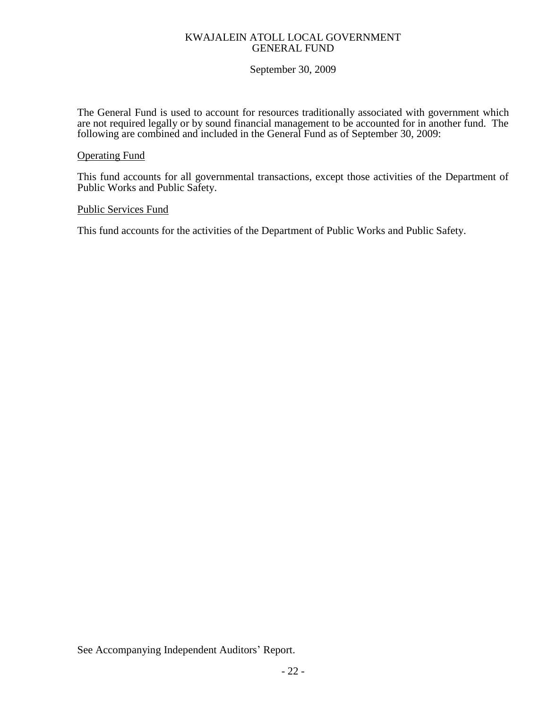## KWAJALEIN ATOLL LOCAL GOVERNMENT GENERAL FUND

# September 30, 2009

The General Fund is used to account for resources traditionally associated with government which are not required legally or by sound financial management to be accounted for in another fund. The following are combined and included in the General Fund as of September 30, 2009:

## Operating Fund

This fund accounts for all governmental transactions, except those activities of the Department of Public Works and Public Safety.

## Public Services Fund

This fund accounts for the activities of the Department of Public Works and Public Safety.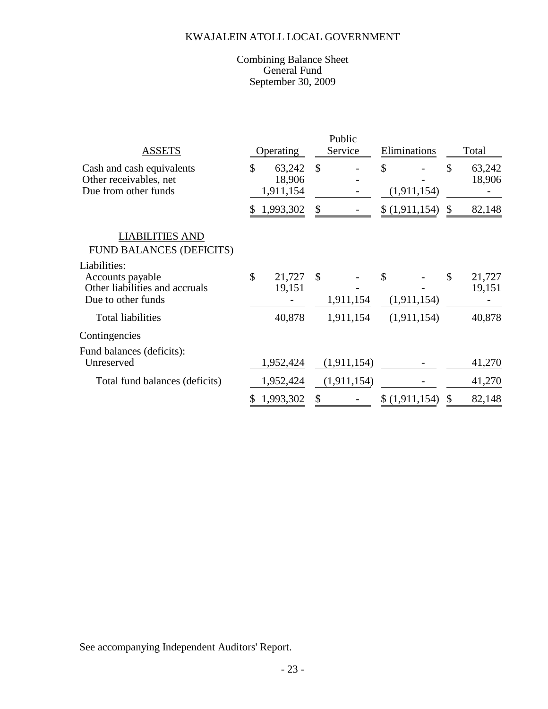## Combining Balance Sheet General Fund September 30, 2009

|                                                                             |           |                               |               | Public      |              |               |       |                  |  |
|-----------------------------------------------------------------------------|-----------|-------------------------------|---------------|-------------|--------------|---------------|-------|------------------|--|
| <b>ASSETS</b>                                                               | Operating |                               | Service       |             | Eliminations |               | Total |                  |  |
| Cash and cash equivalents<br>Other receivables, net<br>Due from other funds | \$        | 63,242<br>18,906<br>1,911,154 | $\mathcal{S}$ |             | \$           | (1, 911, 154) | \$    | 63,242<br>18,906 |  |
|                                                                             | \$        | 1,993,302                     | \$            |             |              | \$(1,911,154) | \$    | 82,148           |  |
| <b>LIABILITIES AND</b><br><b>FUND BALANCES (DEFICITS)</b><br>Liabilities:   |           |                               |               |             |              |               |       |                  |  |
| Accounts payable<br>Other liabilities and accruals<br>Due to other funds    | \$        | 21,727<br>19,151              | $\mathcal{S}$ | 1,911,154   | \$           | (1,911,154)   | \$    | 21,727<br>19,151 |  |
| <b>Total liabilities</b>                                                    |           | 40,878                        |               | 1,911,154   |              | (1,911,154)   |       | 40,878           |  |
| Contingencies                                                               |           |                               |               |             |              |               |       |                  |  |
| Fund balances (deficits):<br>Unreserved                                     |           | 1,952,424                     |               | (1,911,154) |              |               |       | 41,270           |  |
| Total fund balances (deficits)                                              |           | 1,952,424                     |               | (1,911,154) |              |               |       | 41,270           |  |
|                                                                             | \$        | 1,993,302                     | \$            |             |              | \$(1,911,154) | \$    | 82,148           |  |

See accompanying Independent Auditors' Report.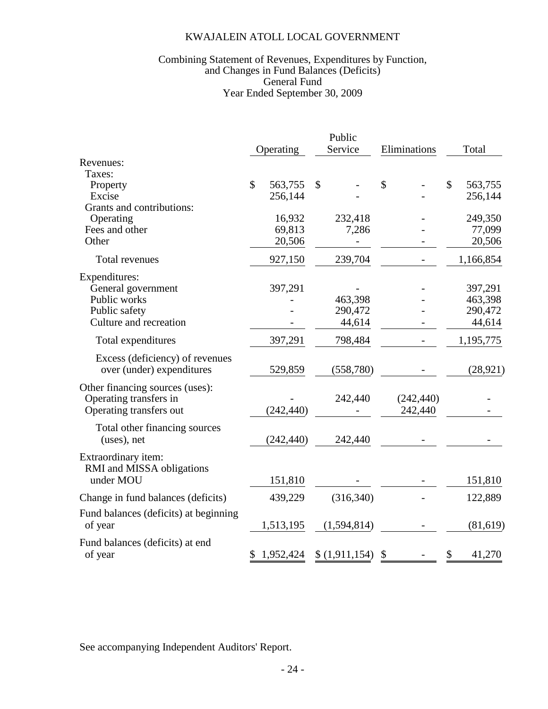## Year Ended September 30, 2009 Combining Statement of Revenues, Expenditures by Function, and Changes in Fund Balances (Deficits) General Fund

|                                       |              |            | Public       |               |              |              |              |           |
|---------------------------------------|--------------|------------|--------------|---------------|--------------|--------------|--------------|-----------|
|                                       |              | Operating  |              | Service       |              | Eliminations |              | Total     |
| Revenues:                             |              |            |              |               |              |              |              |           |
| Taxes:                                |              |            |              |               |              |              |              |           |
| Property                              | $\mathbb{S}$ | 563,755    | $\mathbb{S}$ |               | $\mathbb{S}$ |              | $\mathbb{S}$ | 563,755   |
| Excise                                |              | 256,144    |              |               |              |              |              | 256,144   |
| Grants and contributions:             |              |            |              |               |              |              |              |           |
| Operating                             |              | 16,932     |              | 232,418       |              |              |              | 249,350   |
| Fees and other                        |              | 69,813     |              | 7,286         |              |              |              | 77,099    |
| Other                                 |              | 20,506     |              |               |              |              |              | 20,506    |
| <b>Total revenues</b>                 |              | 927,150    |              | 239,704       |              |              |              | 1,166,854 |
| Expenditures:                         |              |            |              |               |              |              |              |           |
| General government                    |              | 397,291    |              |               |              |              |              | 397,291   |
| Public works                          |              |            |              | 463,398       |              |              |              | 463,398   |
| Public safety                         |              |            |              | 290,472       |              |              |              | 290,472   |
| Culture and recreation                |              |            |              | 44,614        |              |              |              | 44,614    |
| Total expenditures                    |              | 397,291    |              | 798,484       |              |              |              | 1,195,775 |
| Excess (deficiency) of revenues       |              |            |              |               |              |              |              |           |
| over (under) expenditures             |              | 529,859    |              | (558, 780)    |              |              |              | (28, 921) |
| Other financing sources (uses):       |              |            |              |               |              |              |              |           |
| Operating transfers in                |              |            |              | 242,440       |              | (242, 440)   |              |           |
| Operating transfers out               |              | (242, 440) |              |               |              | 242,440      |              |           |
| Total other financing sources         |              |            |              |               |              |              |              |           |
| (uses), net                           |              | (242, 440) |              | 242,440       |              |              |              |           |
| Extraordinary item:                   |              |            |              |               |              |              |              |           |
| RMI and MISSA obligations             |              |            |              |               |              |              |              |           |
| under MOU                             |              | 151,810    |              |               |              |              |              | 151,810   |
| Change in fund balances (deficits)    |              | 439,229    |              | (316, 340)    |              |              |              | 122,889   |
| Fund balances (deficits) at beginning |              |            |              |               |              |              |              |           |
| of year                               |              | 1,513,195  |              | (1,594,814)   |              |              |              | (81, 619) |
| Fund balances (deficits) at end       |              |            |              |               |              |              |              |           |
| of year                               | \$           | 1,952,424  |              | \$(1,911,154) | \$           |              | \$           | 41,270    |

See accompanying Independent Auditors' Report.